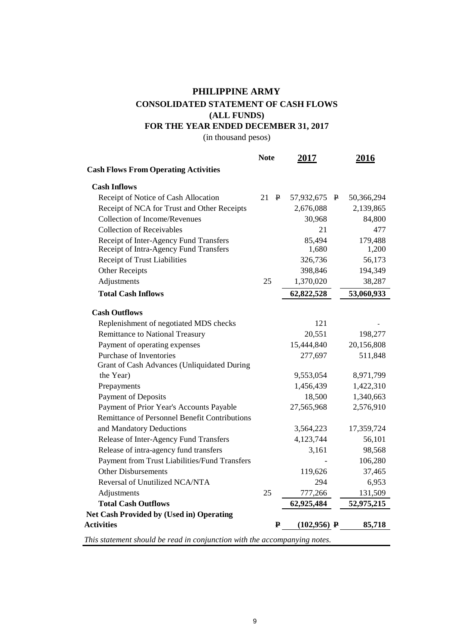## **FOR THE YEAR ENDED DECEMBER 31, 2017 (ALL FUNDS) CONSOLIDATED STATEMENT OF CASH FLOWS PHILIPPINE ARMY**

(in thousand pesos)

|                                                                                  | <b>Note</b> | 2017            |              | 2016             |
|----------------------------------------------------------------------------------|-------------|-----------------|--------------|------------------|
| <b>Cash Flows From Operating Activities</b>                                      |             |                 |              |                  |
| <b>Cash Inflows</b>                                                              |             |                 |              |                  |
| Receipt of Notice of Cash Allocation                                             | 21<br>₽     | 57,932,675      | $\mathbf{P}$ | 50,366,294       |
| Receipt of NCA for Trust and Other Receipts                                      |             | 2,676,088       |              | 2,139,865        |
| <b>Collection of Income/Revenues</b>                                             |             | 30,968          |              | 84,800           |
| <b>Collection of Receivables</b>                                                 |             | 21              |              | 477              |
| Receipt of Inter-Agency Fund Transfers<br>Receipt of Intra-Agency Fund Transfers |             | 85,494<br>1,680 |              | 179,488<br>1,200 |
| Receipt of Trust Liabilities                                                     |             | 326,736         |              | 56,173           |
| <b>Other Receipts</b>                                                            |             | 398,846         |              | 194,349          |
| Adjustments                                                                      | 25          | 1,370,020       |              | 38,287           |
| <b>Total Cash Inflows</b>                                                        |             | 62,822,528      |              | 53,060,933       |
| <b>Cash Outflows</b>                                                             |             |                 |              |                  |
| Replenishment of negotiated MDS checks                                           |             | 121             |              |                  |
| <b>Remittance to National Treasury</b>                                           |             | 20,551          |              | 198,277          |
| Payment of operating expenses                                                    |             | 15,444,840      |              | 20,156,808       |
| Purchase of Inventories                                                          |             | 277,697         |              | 511,848          |
| Grant of Cash Advances (Unliquidated During                                      |             |                 |              |                  |
| the Year)                                                                        |             | 9,553,054       |              | 8,971,799        |
| Prepayments                                                                      |             | 1,456,439       |              | 1,422,310        |
| <b>Payment of Deposits</b>                                                       |             | 18,500          |              | 1,340,663        |
| Payment of Prior Year's Accounts Payable                                         |             | 27,565,968      |              | 2,576,910        |
| <b>Remittance of Personnel Benefit Contributions</b>                             |             |                 |              |                  |
| and Mandatory Deductions                                                         |             | 3,564,223       |              | 17,359,724       |
| Release of Inter-Agency Fund Transfers                                           |             | 4,123,744       |              | 56,101           |
| Release of intra-agency fund transfers                                           |             | 3,161           |              | 98,568           |
| Payment from Trust Liabilities/Fund Transfers                                    |             |                 |              | 106,280          |
| <b>Other Disbursements</b>                                                       |             | 119,626         |              | 37,465           |
| Reversal of Unutilized NCA/NTA                                                   |             | 294             |              | 6,953            |
| Adjustments                                                                      | 25          | 777,266         |              | 131,509          |
| <b>Total Cash Outflows</b>                                                       |             | 62,925,484      |              | 52,975,215       |
| Net Cash Provided by (Used in) Operating                                         |             |                 |              |                  |
| <b>Activities</b>                                                                | ₽           | $(102,956)$ P   |              | 85,718           |
| This statement should be read in conjunction with the accompanying notes.        |             |                 |              |                  |